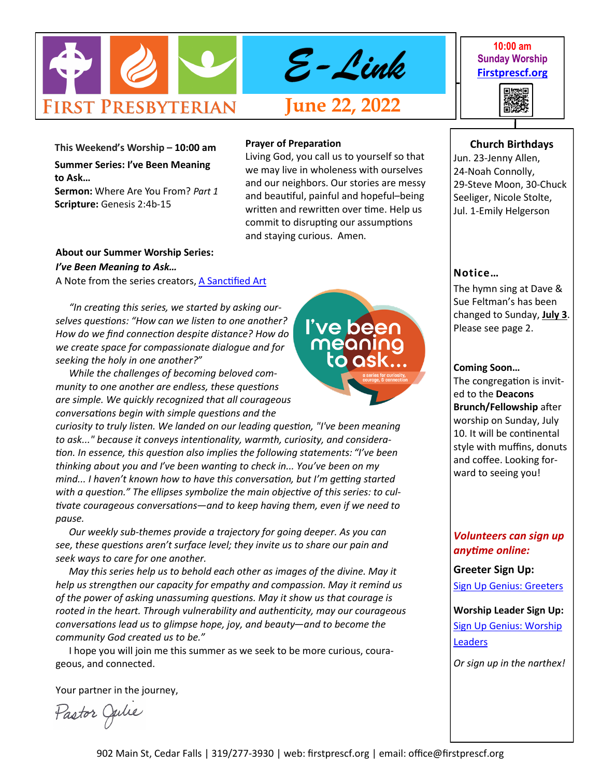

**10:00 am Sunday Worship [Firstprescf.org](http://www.firstprescf.org)**

興趣源

**This Weekend's Worship – 10:00 am Summer Series: I've Been Meaning to Ask…**

**Sermon:** Where Are You From? *Part 1* **Scripture:** Genesis 2:4b-15

#### **Prayer of Preparation**

Living God, you call us to yourself so that we may live in wholeness with ourselves and our neighbors. Our stories are messy and beautiful, painful and hopeful–being written and rewritten over time. Help us commit to disrupting our assumptions and staying curious. Amen.

**About our Summer Worship Series:** 

*I've Been Meaning to Ask…*

A Note from the series creators, [A Sanctified Art](https://sanctifiedart.org/about)

*"In creating this series, we started by asking ourselves questions: "How can we listen to one another? How do we find connection despite distance? How do we create space for compassionate dialogue and for seeking the holy in one another?"*

*While the challenges of becoming beloved community to one another are endless, these questions are simple. We quickly recognized that all courageous conversations begin with simple questions and the* 

*curiosity to truly listen. We landed on our leading question, "I've been meaning to ask..." because it conveys intentionality, warmth, curiosity, and consideration. In essence, this question also implies the following statements: "I've been thinking about you and I've been wanting to check in... You've been on my mind... I haven't known how to have this conversation, but I'm getting started with a question." The ellipses symbolize the main objective of this series: to cultivate courageous conversations—and to keep having them, even if we need to pause.*

*Our weekly sub-themes provide a trajectory for going deeper. As you can see, these questions aren't surface level; they invite us to share our pain and seek ways to care for one another.*

*May this series help us to behold each other as images of the divine. May it help us strengthen our capacity for empathy and compassion. May it remind us of the power of asking unassuming questions. May it show us that courage is rooted in the heart. Through vulnerability and authenticity, may our courageous conversations lead us to glimpse hope, joy, and beauty—and to become the community God created us to be."*

I hope you will join me this summer as we seek to be more curious, courageous, and connected.

Your partner in the journey,

Pastor Julie



# **Church Birthdays**

Jun. 23-Jenny Allen, 24-Noah Connolly, 29-Steve Moon, 30-Chuck Seeliger, Nicole Stolte, Jul. 1-Emily Helgerson

# **Notice…**

The hymn sing at Dave & Sue Feltman's has been changed to Sunday, **July 3**. Please see page 2.

### **Coming Soon…**

The congregation is invited to the **Deacons Brunch/Fellowship** after worship on Sunday, July 10. It will be continental style with muffins, donuts and coffee. Looking forward to seeing you!

## *Volunteers can sign up anytime online:*

**Greeter Sign Up:**

[Sign Up Genius: Greeters](https://www.signupgenius.com/go/10C0D4BA9A728ABF4CF8-shepherds1)

# **Worship Leader Sign Up:** [Sign Up Genius: Worship](https://www.signupgenius.com/go/10C0D4BA9A728ABF4CF8-worship)  **[Leaders](https://www.signupgenius.com/go/10C0D4BA9A728ABF4CF8-worship)**

*Or sign up in the narthex!*